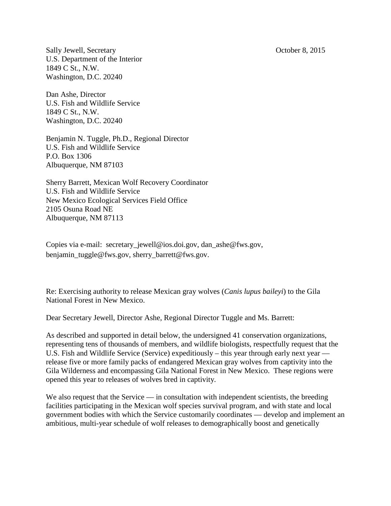Sally Jewell, Secretary October 8, 2015 U.S. Department of the Interior 1849 C St., N.W. Washington, D.C. 20240

Dan Ashe, Director U.S. Fish and Wildlife Service 1849 C St., N.W. Washington, D.C. 20240

Benjamin N. Tuggle, Ph.D., Regional Director U.S. Fish and Wildlife Service P.O. Box 1306 Albuquerque, NM 87103

Sherry Barrett, Mexican Wolf Recovery Coordinator U.S. Fish and Wildlife Service New Mexico Ecological Services Field Office 2105 Osuna Road NE Albuquerque, NM 87113

Copies via e-mail: [secretary\\_jewell@ios.doi.gov,](mailto:secretary_jewell@ios.doi.gov) [dan\\_ashe@fws.gov,](mailto:dan_ashe@fws.gov) [benjamin\\_tuggle@fws.gov,](mailto:benjamin_tuggle@fws.gov) sherry\_barrett@fws.gov.

Re: Exercising authority to release Mexican gray wolves (*Canis lupus baileyi*) to the Gila National Forest in New Mexico.

Dear Secretary Jewell, Director Ashe, Regional Director Tuggle and Ms. Barrett:

As described and supported in detail below, the undersigned 41 conservation organizations, representing tens of thousands of members, and wildlife biologists, respectfully request that the U.S. Fish and Wildlife Service (Service) expeditiously – this year through early next year release five or more family packs of endangered Mexican gray wolves from captivity into the Gila Wilderness and encompassing Gila National Forest in New Mexico. These regions were opened this year to releases of wolves bred in captivity.

We also request that the Service  $-$  in consultation with independent scientists, the breeding facilities participating in the Mexican wolf species survival program, and with state and local government bodies with which the Service customarily coordinates –– develop and implement an ambitious, multi-year schedule of wolf releases to demographically boost and genetically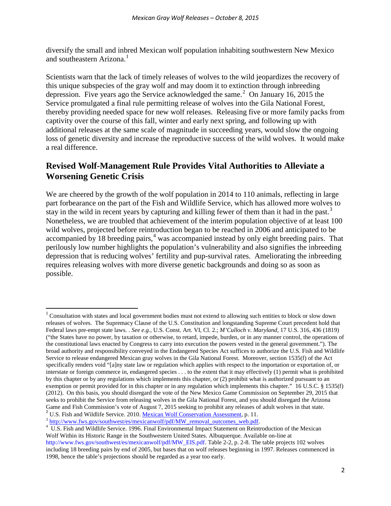diversify the small and inbred Mexican wolf population inhabiting southwestern New Mexico and southeastern Arizona.<sup>[1](#page-1-0)</sup>

Scientists warn that the lack of timely releases of wolves to the wild jeopardizes the recovery of this unique subspecies of the gray wolf and may doom it to extinction through inbreeding depression. Five years ago the Service acknowledged the same. [2](#page-1-1) On January 16, 2015 the Service promulgated a final rule permitting release of wolves into the Gila National Forest, thereby providing needed space for new wolf releases. Releasing five or more family packs from captivity over the course of this fall, winter and early next spring, and following up with additional releases at the same scale of magnitude in succeeding years, would slow the ongoing loss of genetic diversity and increase the reproductive success of the wild wolves. It would make a real difference.

# **Revised Wolf-Management Rule Provides Vital Authorities to Alleviate a Worsening Genetic Crisis**

We are cheered by the growth of the wolf population in 2014 to 110 animals, reflecting in large part forbearance on the part of the Fish and Wildlife Service, which has allowed more wolves to stay in the wild in recent years by capturing and killing fewer of them than it had in the past.<sup>[3](#page-1-2)</sup> Nonetheless, we are troubled that achievement of the interim population objective of at least 100 wild wolves, projected before reintroduction began to be reached in 2006 and anticipated to be accompanied by 18 breeding pairs, $4 \text{ was accompanied instead by only eight breeding pairs. That}$  $4 \text{ was accompanied instead by only eight breeding pairs. That}$ perilously low number highlights the population's vulnerability and also signifies the inbreeding depression that is reducing wolves' fertility and pup-survival rates. Ameliorating the inbreeding requires releasing wolves with more diverse genetic backgrounds and doing so as soon as possible.

<span id="page-1-2"></span><span id="page-1-1"></span><sup>3</sup> [http://www.fws.gov/southwest/es/mexicanwolf/pdf/MW\\_removal\\_outcomes\\_web.pdf.](http://www.fws.gov/southwest/es/mexicanwolf/pdf/MW_removal_outcomes_web.pdf)

<span id="page-1-0"></span><sup>&</sup>lt;sup>1</sup> Consultation with states and local government bodies must not extend to allowing such entities to block or slow down releases of wolves. The Supremacy Clause of the U.S. Constitution and longstanding Supreme Court precedent hold that Federal laws pre-empt state laws. . *See e.g.,* U.S. Const. Art. VI, Cl. 2.; *M'Culloch v. Maryland*, 17 U.S. 316, 436 (1819) ("the States have no power, by taxation or otherwise, to retard, impede, burden, or in any manner control, the operations of the constitutional laws enacted by Congress to carry into execution the powers vested in the general government."). The broad authority and responsibility conveyed in the Endangered Species Act suffices to authorize the U.S. Fish and Wildlife Service to release endangered Mexican gray wolves in the Gila National Forest. Moreover, section 1535(f) of the Act specifically renders void "[a]ny state law or regulation which applies with respect to the importation or exportation of, or interstate or foreign commerce in, endangered species . . . to the extent that it may effectively (1) permit what is prohibited by this chapter or by any regulations which implements this chapter, or (2) prohibit what is authorized pursuant to an exemption or permit provided for in this chapter or in any regulation which implements this chapter." 16 U.S.C. § 1535(f) (2012). On this basis, you should disregard the vote of the New Mexico Game Commission on September 29, 2015 that seeks to prohibit the Service from releasing wolves in the Gila National Forest, and you should disregard the Arizona Game and Fish Commission's vote of August 7, 2015 seeking to prohibit any releases of adult wolves in that state.<br><sup>2</sup> U.S. Fish and Wildlife Service. 2010. <u>Mexican Wolf Conservation Assessment</u>, p. 11.

<span id="page-1-3"></span><sup>&</sup>lt;sup>4</sup> U.S. Fish and Wildlife Service. 1996. Final Environmental Impact Statement on Reintroduction of the Mexican Wolf Within its Historic Range in the Southwestern United States. Albuquerque. Available on-line at http://www.fws.gov/southwest/es/mexicanwolf/pdf/MW\_EIS.pdf. Table 2-2, p. 2-8. The table projects 102 wolves including 18 breeding pairs by end of 2005, but bases that on wolf releases beginning in 1997. Releases commenced in 1998, hence the table's projections should be regarded as a year too early.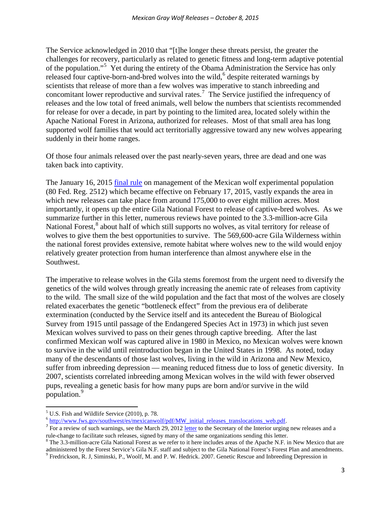The Service acknowledged in 2010 that "[t]he longer these threats persist, the greater the challenges for recovery, particularly as related to genetic fitness and long-term adaptive potential of the population."[5](#page-2-0) Yet during the entirety of the Obama Administration the Service has only released four captive-born-and-bred wolves into the wild,<sup>[6](#page-2-1)</sup> despite reiterated warnings by scientists that release of more than a few wolves was imperative to stanch inbreeding and concomitant lower reproductive and survival rates.<sup>[7](#page-2-2)</sup> The Service justified the infrequency of releases and the low total of freed animals, well below the numbers that scientists recommended for release for over a decade, in part by pointing to the limited area, located solely within the Apache National Forest in Arizona, authorized for releases. Most of that small area has long supported wolf families that would act territorially aggressive toward any new wolves appearing suddenly in their home ranges.

Of those four animals released over the past nearly-seven years, three are dead and one was taken back into captivity.

The January 16, 2015 [final rule](http://www.fws.gov/southwest/es/mexicanwolf/pdf/Mx_wolf_10j_final_rule_to_OFR.pdf) on management of the Mexican wolf experimental population (80 Fed. Reg. 2512) which became effective on February 17, 2015, vastly expands the area in which new releases can take place from around 175,000 to over eight million acres. Most importantly, it opens up the entire Gila National Forest to release of captive-bred wolves. As we summarize further in this letter, numerous reviews have pointed to the 3.3-million-acre Gila National Forest,<sup>[8](#page-2-3)</sup> about half of which still supports no wolves, as vital territory for release of wolves to give them the best opportunities to survive. The 569,600-acre Gila Wilderness within the national forest provides extensive, remote habitat where wolves new to the wild would enjoy relatively greater protection from human interference than almost anywhere else in the Southwest.

The imperative to release wolves in the Gila stems foremost from the urgent need to diversify the genetics of the wild wolves through greatly increasing the anemic rate of releases from captivity to the wild. The small size of the wild population and the fact that most of the wolves are closely related exacerbates the genetic "bottleneck effect" from the previous era of deliberate extermination (conducted by the Service itself and its antecedent the Bureau of Biological Survey from 1915 until passage of the Endangered Species Act in 1973) in which just seven Mexican wolves survived to pass on their genes through captive breeding. After the last confirmed Mexican wolf was captured alive in 1980 in Mexico, no Mexican wolves were known to survive in the wild until reintroduction began in the United States in 1998. As noted, today many of the descendants of those last wolves, living in the wild in Arizona and New Mexico, suffer from inbreeding depression — meaning reduced fitness due to loss of genetic diversity. In 2007, scientists correlated inbreeding among Mexican wolves in the wild with fewer observed pups, revealing a genetic basis for how many pups are born and/or survive in the wild population.<sup>[9](#page-2-4)</sup>

<span id="page-2-2"></span>

<span id="page-2-1"></span><span id="page-2-0"></span><sup>&</sup>lt;sup>5</sup> U.S. Fish and Wildlife Service (2010), p. 78.<br>  $\frac{6 \text{ http://www.fws.gov/southwest/es/mexican wolf/pdf/MW initial releases translocations web.pdf}}{7 \text{ For a review of such warnings, see the March 29, 2012 letter to the Secretary of the Interior urging new releases and a rule-change to facilitate such releases, signed by many of the same organizations sending this letter.}$  $\frac{6 \text{ http://www.fws.gov/southwest/es/mexican wolf/pdf/MW initial releases translocations web.pdf}}{7 \text{ For a review of such warnings, see the March 29, 2012 letter to the Secretary of the Interior urging new releases and a rule-change to facilitate such releases, signed by many of the same organizations sending this letter.}$  $\frac{6 \text{ http://www.fws.gov/southwest/es/mexican wolf/pdf/MW initial releases translocations web.pdf}}{7 \text{ For a review of such warnings, see the March 29, 2012 letter to the Secretary of the Interior urging new releases and a rule-change to facilitate such releases, signed by many of the same organizations sending this letter.}$ 

<span id="page-2-3"></span> $8$  The 3.3-million-acre Gila National Forest as we refer to it here includes areas of the Apache N.F. in New Mexico that are administered by the Forest Service's Gila N.F. staff and subject to the Gila National Forest's Forest Plan and amendments.

<span id="page-2-4"></span><sup>9</sup> Fredrickson, R. J, Siminski, P., Woolf, M. and P. W. Hedrick. 2007. Genetic Rescue and Inbreeding Depression in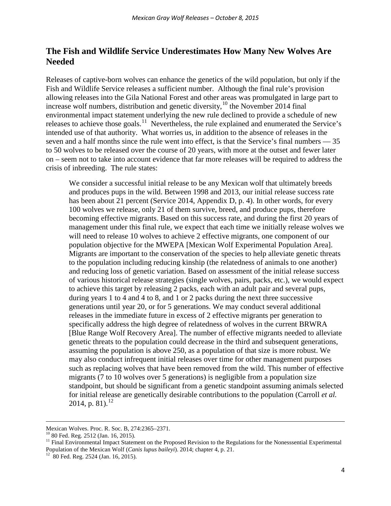# **The Fish and Wildlife Service Underestimates How Many New Wolves Are Needed**

Releases of captive-born wolves can enhance the genetics of the wild population, but only if the Fish and Wildlife Service releases a sufficient number. Although the final rule's provision allowing releases into the Gila National Forest and other areas was promulgated in large part to increase wolf numbers, distribution and genetic diversity,  $10$  the November 2014 final environmental impact statement underlying the new rule declined to provide a schedule of new releases to achieve those goals.<sup>[11](#page-3-1)</sup> Nevertheless, the rule explained and enumerated the Service's intended use of that authority. What worries us, in addition to the absence of releases in the seven and a half months since the rule went into effect, is that the Service's final numbers — 35 to 50 wolves to be released over the course of 20 years, with more at the outset and fewer later on – seem not to take into account evidence that far more releases will be required to address the crisis of inbreeding. The rule states:

We consider a successful initial release to be any Mexican wolf that ultimately breeds and produces pups in the wild. Between 1998 and 2013, our initial release success rate has been about 21 percent (Service 2014, Appendix D, p. 4). In other words, for every 100 wolves we release, only 21 of them survive, breed, and produce pups, therefore becoming effective migrants. Based on this success rate, and during the first 20 years of management under this final rule, we expect that each time we initially release wolves we will need to release 10 wolves to achieve 2 effective migrants, one component of our population objective for the MWEPA [Mexican Wolf Experimental Population Area]. Migrants are important to the conservation of the species to help alleviate genetic threats to the population including reducing kinship (the relatedness of animals to one another) and reducing loss of genetic variation. Based on assessment of the initial release success of various historical release strategies (single wolves, pairs, packs, etc.), we would expect to achieve this target by releasing 2 packs, each with an adult pair and several pups, during years 1 to 4 and 4 to 8, and 1 or 2 packs during the next three successive generations until year 20, or for 5 generations. We may conduct several additional releases in the immediate future in excess of 2 effective migrants per generation to specifically address the high degree of relatedness of wolves in the current BRWRA [Blue Range Wolf Recovery Area]. The number of effective migrants needed to alleviate genetic threats to the population could decrease in the third and subsequent generations, assuming the population is above 250, as a population of that size is more robust. We may also conduct infrequent initial releases over time for other management purposes such as replacing wolves that have been removed from the wild. This number of effective migrants (7 to 10 wolves over 5 generations) is negligible from a population size standpoint, but should be significant from a genetic standpoint assuming animals selected for initial release are genetically desirable contributions to the population (Carroll *et al.*  2014, p. 81).<sup>[12](#page-3-2)</sup>

<span id="page-3-0"></span>Mexican Wolves. Proc. R. Soc. B, 274:2365-2371.<br><sup>10</sup> 80 Fed. Reg. 2512 (Jan. 16, 2015).

<span id="page-3-1"></span> $11$  Final Environmental Impact Statement on the Proposed Revision to the Regulations for the Nonesssential Experimental Population of the Mexican Wolf (*Canis lupus baileyi*). 2014; chapter 4, p. 21. <sup>12</sup> 80 Fed. Reg. 2524 (Jan. 16, 2015).

<span id="page-3-2"></span>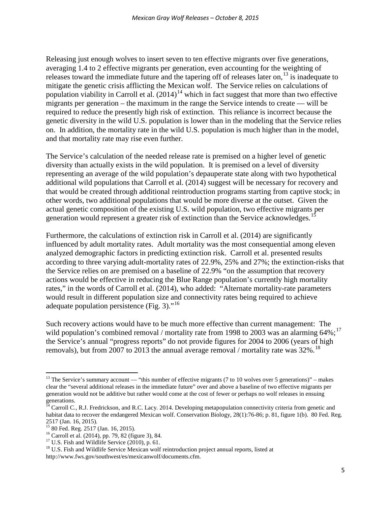Releasing just enough wolves to insert seven to ten effective migrants over five generations, averaging 1.4 to 2 effective migrants per generation, even accounting for the weighting of releases toward the immediate future and the tapering off of releases later on,<sup>[13](#page-4-0)</sup> is inadequate to mitigate the genetic crisis afflicting the Mexican wolf. The Service relies on calculations of population viability in Carroll et al.  $(2014)^{14}$  $(2014)^{14}$  $(2014)^{14}$  which in fact suggest that more than two effective migrants per generation – the maximum in the range the Service intends to create –– will be required to reduce the presently high risk of extinction. This reliance is incorrect because the genetic diversity in the wild U.S. population is lower than in the modeling that the Service relies on. In addition, the mortality rate in the wild U.S. population is much higher than in the model, and that mortality rate may rise even further.

The Service's calculation of the needed release rate is premised on a higher level of genetic diversity than actually exists in the wild population. It is premised on a level of diversity representing an average of the wild population's depauperate state along with two hypothetical additional wild populations that Carroll et al. (2014) suggest will be necessary for recovery and that would be created through additional reintroduction programs starting from captive stock; in other words, two additional populations that would be more diverse at the outset. Given the actual genetic composition of the existing U.S. wild population, two effective migrants per generation would represent a greater risk of extinction than the Service acknowledges.<sup>[15](#page-4-2)</sup>

Furthermore, the calculations of extinction risk in Carroll et al. (2014) are significantly influenced by adult mortality rates. Adult mortality was the most consequential among eleven analyzed demographic factors in predicting extinction risk. Carroll et al. presented results according to three varying adult-mortality rates of 22.9%, 25% and 27%; the extinction-risks that the Service relies on are premised on a baseline of 22.9% "on the assumption that recovery actions would be effective in reducing the Blue Range population's currently high mortality rates," in the words of Carroll et al. (2014), who added: "Alternate mortality-rate parameters would result in different population size and connectivity rates being required to achieve adequate population persistence (Fig. 3). $^{16}$  $^{16}$  $^{16}$ 

Such recovery actions would have to be much more effective than current management: The wild population's combined removal / mortality rate from 1998 to 2003 was an alarming  $64\%$ ;<sup>[17](#page-4-4)</sup> the Service's annual "progress reports" do not provide figures for 2004 to 2006 (years of high removals), but from 2007 to 2013 the annual average removal / mortality rate was  $32\%$ .<sup>[18](#page-4-5)</sup>

<span id="page-4-0"></span><sup>&</sup>lt;sup>13</sup> The Service's summary account — "this number of effective migrants (7 to 10 wolves over 5 generations)" – makes clear the "several additional releases in the immediate future" over and above a baseline of two effective migrants per generation would not be additive but rather would come at the cost of fewer or perhaps no wolf releases in ensuing generations.

<span id="page-4-1"></span><sup>&</sup>lt;sup>14</sup> Carroll C., R.J. Fredrickson, and R.C. Lacy. 2014. Developing metapopulation connectivity criteria from genetic and habitat data to recover the endangered Mexican wolf. Conservation Biology, 28(1):76-86; p. 81, figure 1(b). 80 Fed. Reg. 2517 (Jan. 16, 2015).<br><sup>15</sup> 80 Fed. Reg. 2517 (Jan. 16, 2015).<br><sup>16</sup> Carroll et al. (2014), pp. 79, 82 (figure 3), 84.<br><sup>17</sup> U.S. Fish and Wildlife Service (2010), p. 61.<br><sup>18</sup> U.S. Fish and Wildlife Service Mexican wolf rein

<span id="page-4-2"></span>

<span id="page-4-3"></span>

<span id="page-4-5"></span><span id="page-4-4"></span>http://www.fws.gov/southwest/es/mexicanwolf/documents.cfm.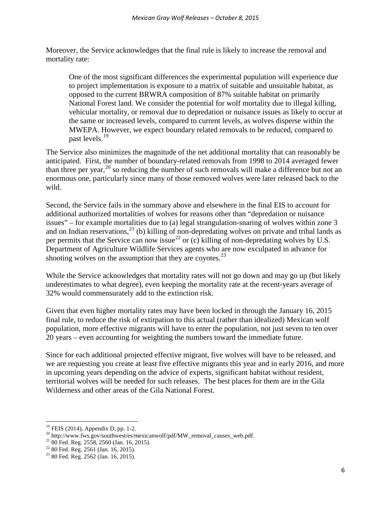Moreover, the Service acknowledges that the final rule is likely to increase the removal and mortality rate:

One of the most significant differences the experimental population will experience due to project implementation is exposure to a matrix of suitable and unsuitable habitat, as opposed to the current BRWRA composition of 87% suitable habitat on primarily National Forest land. We consider the potential for wolf mortality due to illegal killing, vehicular mortality, or removal due to depredation or nuisance issues as likely to occur at the same or increased levels, compared to current levels, as wolves disperse within the MWEPA. However, we expect boundary related removals to be reduced, compared to past levels.<sup>[19](#page-5-0)</sup>

The Service also minimizes the magnitude of the net additional mortality that can reasonably be anticipated. First, the number of boundary-related removals from 1998 to 2014 averaged fewer than three per year,  $^{20}$  $^{20}$  $^{20}$  so reducing the number of such removals will make a difference but not an enormous one, particularly since many of those removed wolves were later released back to the wild.

Second, the Service fails in the summary above and elsewhere in the final EIS to account for additional authorized mortalities of wolves for reasons other than "depredation or nuisance issues" – for example mortalities due to (a) legal strangulation-snaring of wolves within zone 3 and on Indian reservations,  $^{21}$  $^{21}$  $^{21}$  (b) killing of non-depredating wolves on private and tribal lands as per permits that the Service can now issue<sup>[22](#page-5-3)</sup> or (c) killing of non-depredating wolves by U.S. Department of Agriculture Wildlife Services agents who are now exculpated in advance for shooting wolves on the assumption that they are coyotes.<sup>[23](#page-5-4)</sup>

While the Service acknowledges that mortality rates will not go down and may go up (but likely underestimates to what degree), even keeping the mortality rate at the recent-years average of 32% would commensurately add to the extinction risk.

Given that even higher mortality rates may have been locked in through the January 16, 2015 final rule, to reduce the risk of extirpation to this actual (rather than idealized) Mexican wolf population, more effective migrants will have to enter the population, not just seven to ten over 20 years – even accounting for weighting the numbers toward the immediate future.

Since for each additional projected effective migrant, five wolves will have to be released, and we are requesting you create at least five effective migrants this year and in early 2016, and more in upcoming years depending on the advice of experts, significant habitat without resident, territorial wolves will be needed for such releases. The best places for them are in the Gila Wilderness and other areas of the Gila National Forest.

<span id="page-5-1"></span><span id="page-5-0"></span><sup>&</sup>lt;sup>19</sup> FEIS (2014), Appendix D, pp. 1-2.<br><sup>20</sup> http://www.fws.gov/southwest/es/mexicanwolf/pdf/MW\_removal\_causes\_web.pdf.<br><sup>21</sup> 80 Fed. Reg. 2558, 2560 (Jan. 16, 2015).<br><sup>22</sup> 80 Fed. Reg. 2561 (Jan. 16, 2015).<br><sup>23</sup> 80 Fed. Reg

<span id="page-5-2"></span>

<span id="page-5-3"></span>

<span id="page-5-4"></span>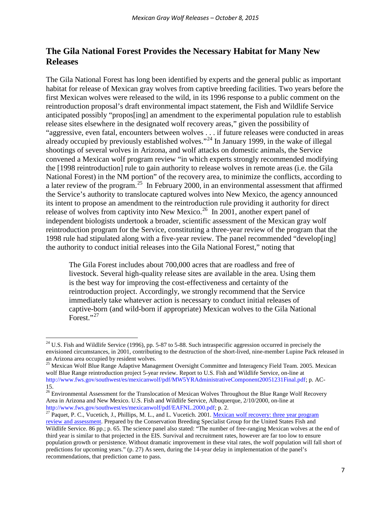# **The Gila National Forest Provides the Necessary Habitat for Many New Releases**

The Gila National Forest has long been identified by experts and the general public as important habitat for release of Mexican gray wolves from captive breeding facilities. Two years before the first Mexican wolves were released to the wild, in its 1996 response to a public comment on the reintroduction proposal's draft environmental impact statement, the Fish and Wildlife Service anticipated possibly "propos[ing] an amendment to the experimental population rule to establish release sites elsewhere in the designated wolf recovery areas," given the possibility of "aggressive, even fatal, encounters between wolves . . . if future releases were conducted in areas already occupied by previously established wolves."<sup>[24](#page-6-0)</sup> In January 1999, in the wake of illegal shootings of several wolves in Arizona, and wolf attacks on domestic animals, the Service convened a Mexican wolf program review "in which experts strongly recommended modifying the [1998 reintroduction] rule to gain authority to release wolves in remote areas (i.e. the Gila National Forest) in the NM portion" of the recovery area, to minimize the conflicts, according to a later review of the program.[25](#page-6-1) In February 2000, in an environmental assessment that affirmed the Service's authority to translocate captured wolves into New Mexico, the agency announced its intent to propose an amendment to the reintroduction rule providing it authority for direct release of wolves from captivity into New Mexico.<sup>[26](#page-6-2)</sup> In 2001, another expert panel of independent biologists undertook a broader, scientific assessment of the Mexican gray wolf reintroduction program for the Service, constituting a three-year review of the program that the 1998 rule had stipulated along with a five-year review. The panel recommended "develop[ing] the authority to conduct initial releases into the Gila National Forest," noting that

The Gila Forest includes about 700,000 acres that are roadless and free of livestock. Several high-quality release sites are available in the area. Using them is the best way for improving the cost-effectiveness and certainty of the reintroduction project. Accordingly, we strongly recommend that the Service immediately take whatever action is necessary to conduct initial releases of captive-born (and wild-born if appropriate) Mexican wolves to the Gila National Forest."<sup>[27](#page-6-3)</sup>

<span id="page-6-0"></span> $24$  U.S. Fish and Wildlife Service (1996), pp. 5-87 to 5-88. Such intraspecific aggression occurred in precisely the envisioned circumstances, in 2001, contributing to the destruction of the short-lived, nine-member Lupine Pack released in an Arizona area occupied by resident wolves.<br><sup>25</sup> Mexican Wolf Blue Range Adaptive Management Oversight Committee and Interagency Field Team. 2005. Mexican

<span id="page-6-1"></span>wolf Blue Range reintroduction project 5-year review. Report to U.S. Fish and Wildlife Service, on-line at http://www.fws.gov/southwest/es/mexicanwolf/pdf/MW5YRAdministrativeComponent20051231Final.pdf; p. AC-15.

<span id="page-6-2"></span><sup>&</sup>lt;sup>26</sup> Environmental Assessment for the Translocation of Mexican Wolves Throughout the Blue Range Wolf Recovery Area in Arizona and New Mexico. U.S. Fish and Wildlife Service, Albuquerque, 2/10/2000, on-line at http://www.fws.gov/southwest/es/mexicanwolf/pdf/EAFNL.2000.pdf; p. 2.

<span id="page-6-3"></span><sup>&</sup>lt;sup>27</sup> Paquet, P. C., Vucetich, J., Phillips, M. L., and L. Vucetich. 2001[. Mexican wolf recovery: three year program](http://www.fws.gov/southwest/es/Documents/R2ES/Mexican_Wolf_3_Year_Biological_Review.pdf) [review and assessment.](http://www.fws.gov/southwest/es/Documents/R2ES/Mexican_Wolf_3_Year_Biological_Review.pdf) Prepared by the Conservation Breeding Specialist Group for the United States Fish and Wildlife Service. 86 pp.; p. 65. The science panel also stated: "The number of free-ranging Mexican wolves at the end of third year is similar to that projected in the EIS. Survival and recruitment rates, however are far too low to ensure population growth or persistence. Without dramatic improvement in these vital rates, the wolf population will fall short of predictions for upcoming years." (p. 27) As seen, during the 14-year delay in implementation of the panel's recommendations, that prediction came to pass.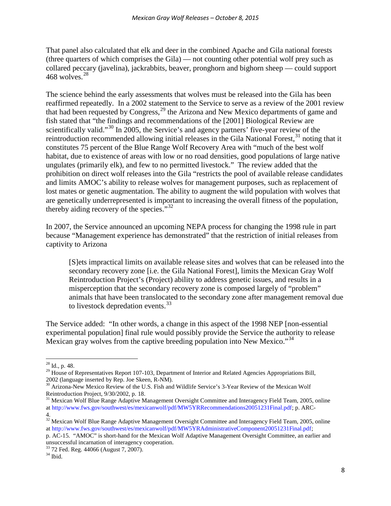That panel also calculated that elk and deer in the combined Apache and Gila national forests (three quarters of which comprises the Gila) –– not counting other potential wolf prey such as collared peccary (javelina), jackrabbits, beaver, pronghorn and bighorn sheep –– could support  $468$  wolves.<sup>[28](#page-7-0)</sup>

The science behind the early assessments that wolves must be released into the Gila has been reaffirmed repeatedly. In a 2002 statement to the Service to serve as a review of the 2001 review that had been requested by Congress,<sup>[29](#page-7-1)</sup> the Arizona and New Mexico departments of game and fish stated that "the findings and recommendations of the [2001] Biological Review are scientifically valid."<sup>[30](#page-7-2)</sup> In 2005, the Service's and agency partners' five-year review of the reintroduction recommended allowing initial releases in the Gila National Forest,  $31$  noting that it constitutes 75 percent of the Blue Range Wolf Recovery Area with "much of the best wolf habitat, due to existence of areas with low or no road densities, good populations of large native ungulates (primarily elk), and few to no permitted livestock." The review added that the prohibition on direct wolf releases into the Gila "restricts the pool of available release candidates and limits AMOC's ability to release wolves for management purposes, such as replacement of lost mates or genetic augmentation. The ability to augment the wild population with wolves that are genetically underrepresented is important to increasing the overall fitness of the population, thereby aiding recovery of the species. $.^{32}$  $.^{32}$  $.^{32}$ 

In 2007, the Service announced an upcoming NEPA process for changing the 1998 rule in part because "Management experience has demonstrated" that the restriction of initial releases from captivity to Arizona

[S]ets impractical limits on available release sites and wolves that can be released into the secondary recovery zone [i.e. the Gila National Forest], limits the Mexican Gray Wolf Reintroduction Project's (Project) ability to address genetic issues, and results in a misperception that the secondary recovery zone is composed largely of "problem" animals that have been translocated to the secondary zone after management removal due to livestock depredation events.<sup>[33](#page-7-5)</sup>

The Service added: "In other words, a change in this aspect of the 1998 NEP [non-essential experimental population] final rule would possibly provide the Service the authority to release Mexican gray wolves from the captive breeding population into New Mexico."<sup>[34](#page-7-6)</sup>

<span id="page-7-1"></span><span id="page-7-0"></span><sup>&</sup>lt;sup>28</sup> Id., p. 48.<br><sup>29</sup> House of Representatives Report 107-103, Department of Interior and Related Agencies Appropriations Bill, 2002 (language inserted by Rep. Joe Skeen, R-NM).

<span id="page-7-2"></span><sup>&</sup>lt;sup>30</sup> Arizona-New Mexico Review of the U.S. Fish and Wildlife Service's 3-Year Review of the Mexican Wolf Reintroduction Project, 9/30/2002, p. 18.

<span id="page-7-3"></span><sup>&</sup>lt;sup>31</sup> Mexican Wolf Blue Range Adaptive Management Oversight Committee and Interagency Field Team, 2005, online at http://www.fws.gov/southwest/es/mexicanwolf/pdf/MW5YRRecommendations20051231Final.pdf; p. ARC-4.

<span id="page-7-4"></span><sup>&</sup>lt;sup>32</sup> Mexican Wolf Blue Range Adaptive Management Oversight Committee and Interagency Field Team, 2005, online at http://www.fws.gov/southwest/es/mexicanwolf/pdf/MW5YRAdministrativeComponent20051231Final.pdf;

p. AC-15. "AMOC" is short-hand for the Mexican Wolf Adaptive Management Oversight Committee, an earlier and unsuccessful incarnation of interagency cooperation.

<span id="page-7-6"></span><span id="page-7-5"></span> $^{33}$  72 Fed. Reg. 44066 (August 7, 2007).<br> $^{34}$  Ibid.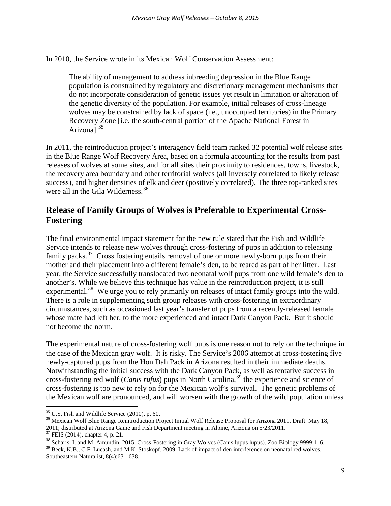In 2010, the Service wrote in its Mexican Wolf Conservation Assessment:

The ability of management to address inbreeding depression in the Blue Range population is constrained by regulatory and discretionary management mechanisms that do not incorporate consideration of genetic issues yet result in limitation or alteration of the genetic diversity of the population. For example, initial releases of cross-lineage wolves may be constrained by lack of space (i.e., unoccupied territories) in the Primary Recovery Zone [i.e. the south-central portion of the Apache National Forest in Arizonal.<sup>[35](#page-8-0)</sup>

In 2011, the reintroduction project's interagency field team ranked 32 potential wolf release sites in the Blue Range Wolf Recovery Area, based on a formula accounting for the results from past releases of wolves at some sites, and for all sites their proximity to residences, towns, livestock, the recovery area boundary and other territorial wolves (all inversely correlated to likely release success), and higher densities of elk and deer (positively correlated). The three top-ranked sites were all in the Gila Wilderness.<sup>[36](#page-8-1)</sup>

# **Release of Family Groups of Wolves is Preferable to Experimental Cross-Fostering**

The final environmental impact statement for the new rule stated that the Fish and Wildlife Service intends to release new wolves through cross-fostering of pups in addition to releasing family packs.<sup>[37](#page-8-2)</sup> Cross fostering entails removal of one or more newly-born pups from their mother and their placement into a different female's den, to be reared as part of her litter. Last year, the Service successfully translocated two neonatal wolf pups from one wild female's den to another's. While we believe this technique has value in the reintroduction project, it is still experimental.<sup>[38](#page-8-3)</sup> We urge you to rely primarily on releases of intact family groups into the wild. There is a role in supplementing such group releases with cross-fostering in extraordinary circumstances, such as occasioned last year's transfer of pups from a recently-released female whose mate had left her, to the more experienced and intact Dark Canyon Pack. But it should not become the norm.

The experimental nature of cross-fostering wolf pups is one reason not to rely on the technique in the case of the Mexican gray wolf. It is risky. The Service's 2006 attempt at cross-fostering five newly-captured pups from the Hon Dah Pack in Arizona resulted in their immediate deaths. Notwithstanding the initial success with the Dark Canyon Pack, as well as tentative success in cross-fostering red wolf (*Canis rufus*) pups in North Carolina,<sup>[39](#page-8-4)</sup> the experience and science of cross-fostering is too new to rely on for the Mexican wolf's survival. The genetic problems of the Mexican wolf are pronounced, and will worsen with the growth of the wild population unless

<span id="page-8-0"></span> $35$  U.S. Fish and Wildlife Service (2010), p. 60.

<span id="page-8-1"></span><sup>&</sup>lt;sup>36</sup> Mexican Wolf Blue Range Reintroduction Project Initial Wolf Release Proposal for Arizona 2011, Draft: May 18, 2011; distributed at Arizona Game and Fish Department meeting in Alpine, Arizona on  $5/23/2011$ .<br><sup>37</sup> FEIS (2014), chapter 4, p. 21.

<span id="page-8-3"></span><span id="page-8-2"></span><sup>&</sup>lt;sup>38</sup> Scharis, I. and M. Amundin. 2015. Cross-Fostering in Gray Wolves (Canis lupus lupus). Zoo Biology 9999:1–6.

<span id="page-8-4"></span><sup>&</sup>lt;sup>39</sup> Beck, K.B., C.F. Lucash, and M.K. Stoskopf. 2009. Lack of impact of den interference on neonatal red wolves. Southeastern Naturalist, 8(4):631-638.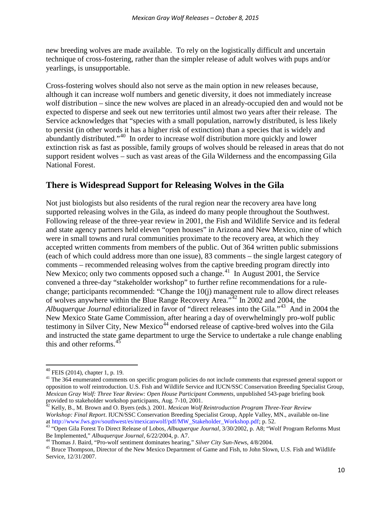new breeding wolves are made available. To rely on the logistically difficult and uncertain technique of cross-fostering, rather than the simpler release of adult wolves with pups and/or yearlings, is unsupportable.

Cross-fostering wolves should also not serve as the main option in new releases because, although it can increase wolf numbers and genetic diversity, it does not immediately increase wolf distribution – since the new wolves are placed in an already-occupied den and would not be expected to disperse and seek out new territories until almost two years after their release. The Service acknowledges that "species with a small population, narrowly distributed, is less likely to persist (in other words it has a higher risk of extinction) than a species that is widely and abundantly distributed."[40](#page-9-0) In order to increase wolf distribution more quickly and lower extinction risk as fast as possible, family groups of wolves should be released in areas that do not support resident wolves – such as vast areas of the Gila Wilderness and the encompassing Gila National Forest.

### **There is Widespread Support for Releasing Wolves in the Gila**

Not just biologists but also residents of the rural region near the recovery area have long supported releasing wolves in the Gila, as indeed do many people throughout the Southwest. Following release of the three-year review in 2001, the Fish and Wildlife Service and its federal and state agency partners held eleven "open houses" in Arizona and New Mexico, nine of which were in small towns and rural communities proximate to the recovery area, at which they accepted written comments from members of the public. Out of 364 written public submissions (each of which could address more than one issue), 83 comments – the single largest category of comments – recommended releasing wolves from the captive breeding program directly into New Mexico; only two comments opposed such a change.<sup>[41](#page-9-1)</sup> In August 2001, the Service convened a three-day "stakeholder workshop" to further refine recommendations for a rulechange; participants recommended: "Change the 10(j) management rule to allow direct releases of wolves anywhere within the Blue Range Recovery Area."[42](#page-9-2) In 2002 and 2004, the *Albuquerque Journal* editorialized in favor of "direct releases into the Gila."[43](#page-9-3) And in 2004 the New Mexico State Game Commission, after hearing a day of overwhelmingly pro-wolf public testimony in Silver City, New Mexico<sup>[44](#page-9-4)</sup> endorsed release of captive-bred wolves into the Gila and instructed the state game department to urge the Service to undertake a rule change enabling this and other reforms.

<span id="page-9-2"></span>*Workshop: Final Report*. IUCN/SSC Conservation Breeding Specialist Group, Apple Valley, MN., available on-line at http://www.fws.gov/southwest/es/mexicanwolf/pdf/MW\_Stakeholder\_Workshop.pdf; p. 52.

<span id="page-9-0"></span> <sup>40</sup> FEIS (2014), chapter 1, p. 19.

<span id="page-9-1"></span><sup>&</sup>lt;sup>41</sup> The 364 enumerated comments on specific program policies do not include comments that expressed general support or opposition to wolf reintroduction. U.S. Fish and Wildlife Service and IUCN/SSC Conservation Breeding Specialist Group, *Mexican Gray Wolf: Three Year Review: Open House Participant Comments*, unpublished 543-page briefing book provided to stakeholder workshop participants, Aug. 7-10, 2001.<br><sup>42</sup> Kelly, B., M. Brown and O. Byers (eds.). 2001. *Mexican Wolf Reintroduction Program Three-Year Review* 

<span id="page-9-3"></span>as "Open Gila Forest To Direct Release of Lobos, *Albuquerque Journal*, 3/30/2002, p. A8; "Wolf Program Reforms Must<br>Be Implemented," *Albuquerque Journal*, 6/22/2004, p. A7.

<span id="page-9-5"></span><span id="page-9-4"></span><sup>44</sup> Thomas J. Baird, "Pro-wolf sentiment dominates hearing," Silver City Sun-News, 4/8/2004.<br><sup>45</sup> Bruce Thompson, Director of the New Mexico Department of Game and Fish, to John Slown, U.S. Fish and Wildlife Service, 12/31/2007.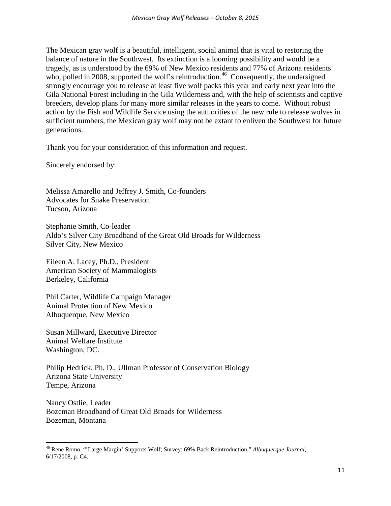The Mexican gray wolf is a beautiful, intelligent, social animal that is vital to restoring the balance of nature in the Southwest. Its extinction is a looming possibility and would be a tragedy, as is understood by the 69% of New Mexico residents and 77% of Arizona residents who, polled in 2008, supported the wolf's reintroduction.<sup>[46](#page-10-0)</sup> Consequently, the undersigned strongly encourage you to release at least five wolf packs this year and early next year into the Gila National Forest including in the Gila Wilderness and, with the help of scientists and captive breeders, develop plans for many more similar releases in the years to come. Without robust action by the Fish and Wildlife Service using the authorities of the new rule to release wolves in sufficient numbers, the Mexican gray wolf may not be extant to enliven the Southwest for future generations.

Thank you for your consideration of this information and request.

Sincerely endorsed by:

Melissa Amarello and Jeffrey J. Smith, Co-founders Advocates for Snake Preservation Tucson, Arizona

Stephanie Smith, Co-leader Aldo's Silver City Broadband of the Great Old Broads for Wilderness Silver City, New Mexico

Eileen A. Lacey, Ph.D., President American Society of Mammalogists Berkeley, California

Phil Carter, Wildlife Campaign Manager Animal Protection of New Mexico Albuquerque, New Mexico

Susan Millward, Executive Director Animal Welfare Institute Washington, DC.

Philip Hedrick, Ph. D., Ullman Professor of Conservation Biology Arizona State University Tempe, Arizona

Nancy Ostlie, Leader Bozeman Broadband of Great Old Broads for Wilderness Bozeman, Montana

<span id="page-10-0"></span><sup>46</sup> Rene Romo, "'Large Margin' Supports Wolf; Survey: 69% Back Reintroduction," *Albuquerque Journal*, 6/17/2008, p. C4.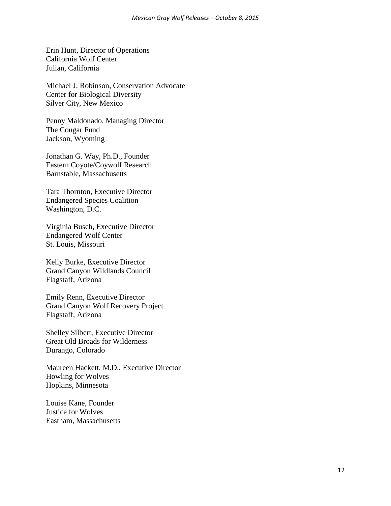Erin Hunt, Director of Operations California Wolf Center Julian, California

Michael J. Robinson, Conservation Advocate Center for Biological Diversity Silver City, New Mexico

Penny Maldonado, Managing Director The Cougar Fund Jackson, Wyoming

Jonathan G. Way, Ph.D., Founder Eastern Coyote/Coywolf Research Barnstable, Massachusetts

Tara Thornton, Executive Director Endangered Species Coalition Washington, D.C.

Virginia Busch, Executive Director Endangered Wolf Center St. Louis, Missouri

Kelly Burke, Executive Director Grand Canyon Wildlands Council Flagstaff, Arizona

Emily Renn, Executive Director Grand Canyon Wolf Recovery Project Flagstaff, Arizona

Shelley Silbert, Executive Director Great Old Broads for Wilderness Durango, Colorado

Maureen Hackett, M.D., Executive Director Howling for Wolves Hopkins, Minnesota

Louise Kane, Founder Justice for Wolves Eastham, Massachusetts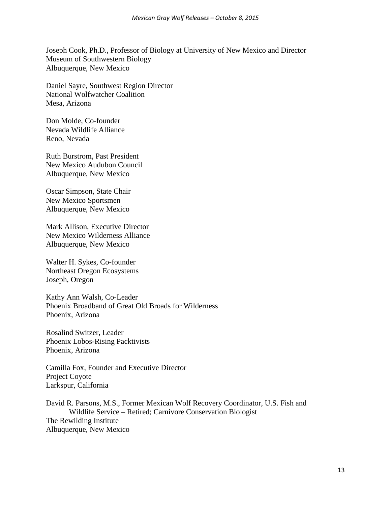Joseph Cook, Ph.D., Professor of Biology at University of New Mexico and Director Museum of Southwestern Biology Albuquerque, New Mexico

Daniel Sayre, Southwest Region Director National Wolfwatcher Coalition Mesa, Arizona

Don Molde, Co-founder Nevada Wildlife Alliance Reno, Nevada

Ruth Burstrom, Past President New Mexico Audubon Council Albuquerque, New Mexico

Oscar Simpson, State Chair New Mexico Sportsmen Albuquerque, New Mexico

Mark Allison, Executive Director New Mexico Wilderness Alliance Albuquerque, New Mexico

Walter H. Sykes, Co-founder Northeast Oregon Ecosystems Joseph, Oregon

Kathy Ann Walsh, Co-Leader Phoenix Broadband of Great Old Broads for Wilderness Phoenix, Arizona

Rosalind Switzer, Leader Phoenix Lobos-Rising Packtivists Phoenix, Arizona

Camilla Fox, Founder and Executive Director Project Coyote Larkspur, California

David R. Parsons, M.S., Former Mexican Wolf Recovery Coordinator, U.S. Fish and Wildlife Service – Retired; Carnivore Conservation Biologist The Rewilding Institute Albuquerque, New Mexico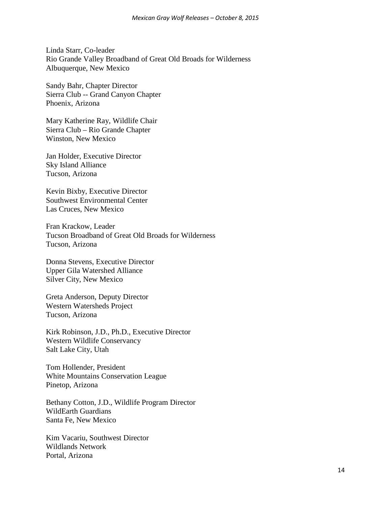Linda Starr, Co-leader Rio Grande Valley Broadband of Great Old Broads for Wilderness Albuquerque, New Mexico

Sandy Bahr, Chapter Director Sierra Club -- Grand Canyon Chapter Phoenix, Arizona

Mary Katherine Ray, Wildlife Chair Sierra Club – Rio Grande Chapter Winston, New Mexico

Jan Holder, Executive Director Sky Island Alliance Tucson, Arizona

Kevin Bixby, Executive Director Southwest Environmental Center Las Cruces, New Mexico

Fran Krackow, Leader Tucson Broadband of Great Old Broads for Wilderness Tucson, Arizona

Donna Stevens, Executive Director Upper Gila Watershed Alliance Silver City, New Mexico

Greta Anderson, Deputy Director Western Watersheds Project Tucson, Arizona

Kirk Robinson, J.D., Ph.D., Executive Director Western Wildlife Conservancy Salt Lake City, Utah

Tom Hollender, President White Mountains Conservation League Pinetop, Arizona

Bethany Cotton, J.D., Wildlife Program Director WildEarth Guardians Santa Fe, New Mexico

Kim Vacariu, Southwest Director Wildlands Network Portal, Arizona